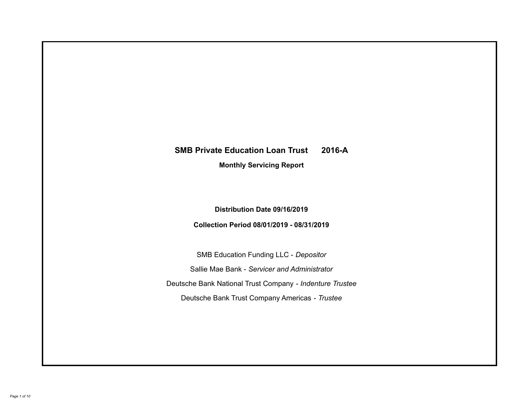# **SMB Private Education Loan Trust 2016-A Monthly Servicing Report**

## **Distribution Date 09/16/2019**

## **Collection Period 08/01/2019 - 08/31/2019**

SMB Education Funding LLC - *Depositor* Sallie Mae Bank - *Servicer and Administrator* Deutsche Bank National Trust Company - *Indenture Trustee* Deutsche Bank Trust Company Americas - *Trustee*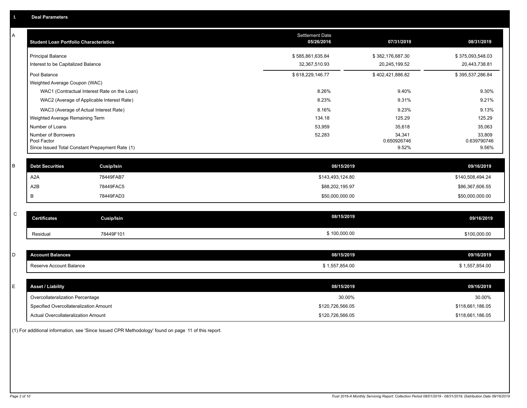| Α           | <b>Student Loan Portfolio Characteristics</b> |                                                 | <b>Settlement Date</b><br>05/26/2016 | 07/31/2019           | 08/31/2019           |
|-------------|-----------------------------------------------|-------------------------------------------------|--------------------------------------|----------------------|----------------------|
|             | <b>Principal Balance</b>                      |                                                 | \$585,861,635.84                     | \$382,176,687.30     | \$375,093,548.03     |
|             | Interest to be Capitalized Balance            |                                                 | 32,367,510.93                        | 20,245,199.52        | 20,443,738.81        |
|             | Pool Balance                                  |                                                 | \$618,229,146.77                     | \$402,421,886.82     | \$395,537,286.84     |
|             | Weighted Average Coupon (WAC)                 |                                                 |                                      |                      |                      |
|             |                                               | WAC1 (Contractual Interest Rate on the Loan)    | 8.26%                                | 9.40%                | 9.30%                |
|             |                                               | WAC2 (Average of Applicable Interest Rate)      | 8.23%                                | 9.31%                | 9.21%                |
|             |                                               | WAC3 (Average of Actual Interest Rate)          | 8.16%                                | 9.23%                | 9.13%                |
|             | Weighted Average Remaining Term               |                                                 | 134.18                               | 125.29               | 125.29               |
|             | Number of Loans                               |                                                 | 53,959                               | 35,618               | 35,063               |
|             | Number of Borrowers                           |                                                 | 52,283                               | 34,341               | 33,809               |
|             | Pool Factor                                   | Since Issued Total Constant Prepayment Rate (1) |                                      | 0.650926746<br>9.52% | 0.639790746<br>9.56% |
|             |                                               |                                                 |                                      |                      |                      |
| B           | <b>Debt Securities</b>                        | <b>Cusip/Isin</b>                               | 08/15/2019                           |                      | 09/16/2019           |
|             | A <sub>2</sub> A                              | 78449FAB7                                       | \$143,493,124.80                     |                      | \$140,508,494.24     |
|             | A <sub>2</sub> B                              | 78449FAC5                                       | \$88,202,195.97                      |                      | \$86,367,606.55      |
|             | B                                             | 78449FAD3                                       | \$50,000,000.00                      |                      | \$50,000,000.00      |
|             |                                               |                                                 |                                      |                      |                      |
| $\mathsf C$ | <b>Certificates</b>                           | <b>Cusip/Isin</b>                               | 08/15/2019                           |                      | 09/16/2019           |
|             | Residual                                      | 78449F101                                       | \$100,000.00                         |                      | \$100,000.00         |
|             |                                               |                                                 |                                      |                      |                      |
| D           | <b>Account Balances</b>                       |                                                 | 08/15/2019                           |                      | 09/16/2019           |
|             | Reserve Account Balance                       |                                                 | \$1,557,854.00                       |                      | \$1,557,854.00       |
|             |                                               |                                                 |                                      |                      |                      |
| Е           | <b>Asset / Liability</b>                      |                                                 | 08/15/2019                           |                      | 09/16/2019           |
|             | Overcollateralization Percentage              |                                                 | 30.00%                               |                      | 30.00%               |
|             | Specified Overcollateralization Amount        |                                                 | \$120,726,566.05                     |                      | \$118,661,186.05     |
|             | Actual Overcollateralization Amount           |                                                 | \$120,726,566.05                     |                      | \$118,661,186.05     |

(1) For additional information, see 'Since Issued CPR Methodology' found on page 11 of this report.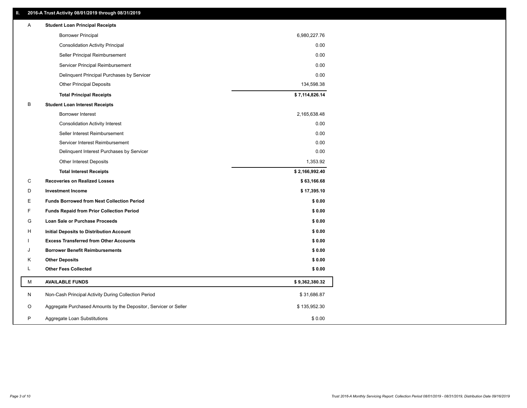## **II. 2016-A Trust Activity 08/01/2019 through 08/31/2019**

| Α | <b>Student Loan Principal Receipts</b>                           |                |  |
|---|------------------------------------------------------------------|----------------|--|
|   | <b>Borrower Principal</b>                                        | 6,980,227.76   |  |
|   | <b>Consolidation Activity Principal</b>                          | 0.00           |  |
|   | Seller Principal Reimbursement                                   | 0.00           |  |
|   | Servicer Principal Reimbursement                                 | 0.00           |  |
|   | Delinquent Principal Purchases by Servicer                       | 0.00           |  |
|   | <b>Other Principal Deposits</b>                                  | 134,598.38     |  |
|   | <b>Total Principal Receipts</b>                                  | \$7,114,826.14 |  |
| B | <b>Student Loan Interest Receipts</b>                            |                |  |
|   | <b>Borrower Interest</b>                                         | 2,165,638.48   |  |
|   | <b>Consolidation Activity Interest</b>                           | 0.00           |  |
|   | Seller Interest Reimbursement                                    | 0.00           |  |
|   | Servicer Interest Reimbursement                                  | 0.00           |  |
|   | Delinquent Interest Purchases by Servicer                        | 0.00           |  |
|   | <b>Other Interest Deposits</b>                                   | 1,353.92       |  |
|   | <b>Total Interest Receipts</b>                                   | \$2,166,992.40 |  |
| C | <b>Recoveries on Realized Losses</b>                             | \$63,166.68    |  |
| D | <b>Investment Income</b>                                         | \$17,395.10    |  |
| Ε | <b>Funds Borrowed from Next Collection Period</b>                | \$0.00         |  |
| F | <b>Funds Repaid from Prior Collection Period</b>                 | \$0.00         |  |
| G | Loan Sale or Purchase Proceeds                                   | \$0.00         |  |
| н | Initial Deposits to Distribution Account                         | \$0.00         |  |
|   | <b>Excess Transferred from Other Accounts</b>                    | \$0.00         |  |
| J | <b>Borrower Benefit Reimbursements</b>                           | \$0.00         |  |
| Κ | <b>Other Deposits</b>                                            | \$0.00         |  |
| L | <b>Other Fees Collected</b>                                      | \$0.00         |  |
| М | <b>AVAILABLE FUNDS</b>                                           | \$9,362,380.32 |  |
| N | Non-Cash Principal Activity During Collection Period             | \$31,686.87    |  |
| O | Aggregate Purchased Amounts by the Depositor, Servicer or Seller | \$135,952.30   |  |
| P | Aggregate Loan Substitutions                                     | \$0.00         |  |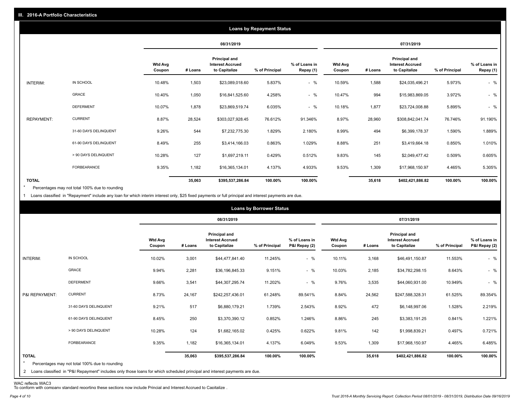|                   | <b>Loans by Repayment Status</b> |                          |            |                                                           |                |                            |                   |         |                                                                  |                |                            |
|-------------------|----------------------------------|--------------------------|------------|-----------------------------------------------------------|----------------|----------------------------|-------------------|---------|------------------------------------------------------------------|----------------|----------------------------|
|                   |                                  |                          | 08/31/2019 |                                                           |                |                            | 07/31/2019        |         |                                                                  |                |                            |
|                   |                                  | <b>Wtd Avg</b><br>Coupon | # Loans    | Principal and<br><b>Interest Accrued</b><br>to Capitalize | % of Principal | % of Loans in<br>Repay (1) | Wtd Avg<br>Coupon | # Loans | <b>Principal and</b><br><b>Interest Accrued</b><br>to Capitalize | % of Principal | % of Loans in<br>Repay (1) |
| INTERIM:          | IN SCHOOL                        | 10.48%                   | 1,503      | \$23,089,018.60                                           | 5.837%         | $-$ %                      | 10.59%            | 1,588   | \$24,035,496.21                                                  | 5.973%         | $-$ %                      |
|                   | GRACE                            | 10.40%                   | 1,050      | \$16,841,525.60                                           | 4.258%         | $-$ %                      | 10.47%            | 994     | \$15,983,869.05                                                  | 3.972%         | $-$ %                      |
|                   | <b>DEFERMENT</b>                 | 10.07%                   | 1,878      | \$23,869,519.74                                           | 6.035%         | $-$ %                      | 10.18%            | 1,877   | \$23,724,008.88                                                  | 5.895%         | $-$ %                      |
| <b>REPAYMENT:</b> | <b>CURRENT</b>                   | 8.87%                    | 28,524     | \$303,027,928.45                                          | 76.612%        | 91.346%                    | 8.97%             | 28,960  | \$308,842,041.74                                                 | 76.746%        | 91.190%                    |
|                   | 31-60 DAYS DELINQUENT            | 9.26%                    | 544        | \$7,232,775.30                                            | 1.829%         | 2.180%                     | 8.99%             | 494     | \$6,399,178.37                                                   | 1.590%         | 1.889%                     |
|                   | 61-90 DAYS DELINQUENT            | 8.49%                    | 255        | \$3,414,166.03                                            | 0.863%         | 1.029%                     | 8.88%             | 251     | \$3,419,664.18                                                   | 0.850%         | 1.010%                     |
|                   | > 90 DAYS DELINQUENT             | 10.28%                   | 127        | \$1,697,219.11                                            | 0.429%         | 0.512%                     | 9.83%             | 145     | \$2,049,477.42                                                   | 0.509%         | 0.605%                     |
|                   | FORBEARANCE                      | 9.35%                    | 1,182      | \$16,365,134.01                                           | 4.137%         | 4.933%                     | 9.53%             | 1,309   | \$17,968,150.97                                                  | 4.465%         | 5.305%                     |
| <b>TOTAL</b>      |                                  |                          | 35,063     | \$395,537,286.84                                          | 100.00%        | 100.00%                    |                   | 35,618  | \$402,421,886.82                                                 | 100.00%        | 100.00%                    |

Percentages may not total 100% due to rounding  $\star$ 

1 Loans classified in "Repayment" include any loan for which interim interest only, \$25 fixed payments or full principal and interest payments are due.

| 08/31/2019<br>07/31/2019<br>Principal and<br>Principal and<br><b>Wtd Avg</b><br>% of Loans in<br><b>Interest Accrued</b><br><b>Wtd Avg</b><br><b>Interest Accrued</b><br>to Capitalize<br>% of Principal<br>P&I Repay (2)<br>to Capitalize<br># Loans<br>% of Principal<br>Coupon<br>Coupon<br># Loans<br>IN SCHOOL<br>$-$ %<br>INTERIM:<br>10.02%<br>3,001<br>\$44,477,841.40<br>11.245%<br>10.11%<br>3,168<br>\$46,491,150.87<br>$-$ %<br>GRACE<br>2,281<br>9.94%<br>9.151%<br>10.03%<br>2,185<br>\$36,196,845.33<br>\$34,782,298.15<br>$-$ %<br><b>DEFERMENT</b><br>3,541<br>11.202%<br>9.76%<br>3,535<br>9.66%<br>\$44,307,295.74<br>\$44,060,931.00 |                                |  |  |  |
|----------------------------------------------------------------------------------------------------------------------------------------------------------------------------------------------------------------------------------------------------------------------------------------------------------------------------------------------------------------------------------------------------------------------------------------------------------------------------------------------------------------------------------------------------------------------------------------------------------------------------------------------------------|--------------------------------|--|--|--|
|                                                                                                                                                                                                                                                                                                                                                                                                                                                                                                                                                                                                                                                          |                                |  |  |  |
|                                                                                                                                                                                                                                                                                                                                                                                                                                                                                                                                                                                                                                                          | % of Loans in<br>P&I Repay (2) |  |  |  |
|                                                                                                                                                                                                                                                                                                                                                                                                                                                                                                                                                                                                                                                          | $-$ %<br>11.553%               |  |  |  |
|                                                                                                                                                                                                                                                                                                                                                                                                                                                                                                                                                                                                                                                          | $-$ %<br>8.643%                |  |  |  |
|                                                                                                                                                                                                                                                                                                                                                                                                                                                                                                                                                                                                                                                          | $-$ %<br>10.949%               |  |  |  |
| <b>CURRENT</b><br>8.73%<br>P&I REPAYMENT:<br>24,167<br>\$242,257,436.01<br>61.248%<br>89.541%<br>8.84%<br>24,562<br>\$247,588,328.31                                                                                                                                                                                                                                                                                                                                                                                                                                                                                                                     | 61.525%<br>89.354%             |  |  |  |
| 31-60 DAYS DELINQUENT<br>517<br>9.21%<br>472<br>\$6,880,179.21<br>1.739%<br>2.543%<br>8.92%<br>\$6,148,997.06                                                                                                                                                                                                                                                                                                                                                                                                                                                                                                                                            | 2.219%<br>1.528%               |  |  |  |
| 61-90 DAYS DELINQUENT<br>8.45%<br>250<br>0.852%<br>8.86%<br>245<br>\$3,370,390.12<br>1.246%<br>\$3,383,191.25                                                                                                                                                                                                                                                                                                                                                                                                                                                                                                                                            | 0.841%<br>1.221%               |  |  |  |
| > 90 DAYS DELINQUENT<br>124<br>142<br>10.28%<br>\$1,682,165.02<br>0.425%<br>0.622%<br>9.81%<br>\$1,998,839.21                                                                                                                                                                                                                                                                                                                                                                                                                                                                                                                                            | 0.721%<br>0.497%               |  |  |  |
| FORBEARANCE<br>9.35%<br>1,182<br>9.53%<br>\$16,365,134.01<br>4.137%<br>6.049%<br>1,309<br>\$17,968,150.97                                                                                                                                                                                                                                                                                                                                                                                                                                                                                                                                                | 6.485%<br>4.465%               |  |  |  |
| <b>TOTAL</b><br>100.00%<br>35,063<br>100.00%<br>35,618<br>\$395,537,286.84<br>\$402,421,886.82<br>$*$<br>Percentages may not total 100% due to rounding<br>2 Loans classified in "P&I Repayment" includes only those loans for which scheduled principal and interest payments are due.                                                                                                                                                                                                                                                                                                                                                                  | 100.00%<br>100.00%             |  |  |  |

WAC reflects WAC3 To conform with company standard reporting these sections now include Princial and Interest Accrued to Capitalize .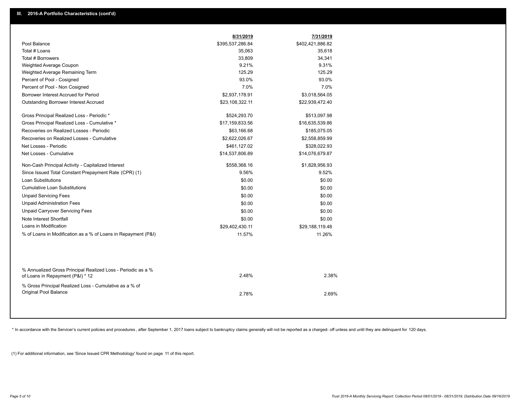|                                                                                                  | 8/31/2019        | 7/31/2019        |
|--------------------------------------------------------------------------------------------------|------------------|------------------|
| Pool Balance                                                                                     | \$395,537,286.84 | \$402,421,886.82 |
| Total # Loans                                                                                    | 35,063           | 35,618           |
| Total # Borrowers                                                                                | 33,809           | 34,341           |
| Weighted Average Coupon                                                                          | 9.21%            | 9.31%            |
| Weighted Average Remaining Term                                                                  | 125.29           | 125.29           |
| Percent of Pool - Cosigned                                                                       | 93.0%            | 93.0%            |
| Percent of Pool - Non Cosigned                                                                   | 7.0%             | 7.0%             |
| Borrower Interest Accrued for Period                                                             | \$2,937,178.91   | \$3,018,564.05   |
| <b>Outstanding Borrower Interest Accrued</b>                                                     | \$23,108,322.11  | \$22,939,472.40  |
| Gross Principal Realized Loss - Periodic *                                                       | \$524,293.70     | \$513,097.98     |
| Gross Principal Realized Loss - Cumulative *                                                     | \$17,159,833.56  | \$16,635,539.86  |
| Recoveries on Realized Losses - Periodic                                                         | \$63,166.68      | \$185,075.05     |
| Recoveries on Realized Losses - Cumulative                                                       | \$2,622,026.67   | \$2,558,859.99   |
| Net Losses - Periodic                                                                            | \$461,127.02     | \$328,022.93     |
| Net Losses - Cumulative                                                                          | \$14,537,806.89  | \$14,076,679.87  |
| Non-Cash Principal Activity - Capitalized Interest                                               | \$558,368.16     | \$1,828,956.93   |
| Since Issued Total Constant Prepayment Rate (CPR) (1)                                            | 9.56%            | 9.52%            |
| <b>Loan Substitutions</b>                                                                        | \$0.00           | \$0.00           |
| <b>Cumulative Loan Substitutions</b>                                                             | \$0.00           | \$0.00           |
| <b>Unpaid Servicing Fees</b>                                                                     | \$0.00           | \$0.00           |
| <b>Unpaid Administration Fees</b>                                                                | \$0.00           | \$0.00           |
| <b>Unpaid Carryover Servicing Fees</b>                                                           | \$0.00           | \$0.00           |
| Note Interest Shortfall                                                                          | \$0.00           | \$0.00           |
| Loans in Modification                                                                            | \$29,402,430.11  | \$29,188,119.48  |
| % of Loans in Modification as a % of Loans in Repayment (P&I)                                    | 11.57%           | 11.26%           |
|                                                                                                  |                  |                  |
| % Annualized Gross Principal Realized Loss - Periodic as a %<br>of Loans in Repayment (P&I) * 12 | 2.48%            | 2.38%            |
| % Gross Principal Realized Loss - Cumulative as a % of                                           |                  |                  |
| Original Pool Balance                                                                            | 2.78%            | 2.69%            |
|                                                                                                  |                  |                  |

\* In accordance with the Servicer's current policies and procedures, after September 1, 2017 loans subject to bankruptcy claims generally will not be reported as a charged- off unless and until they are delinquent for 120

(1) For additional information, see 'Since Issued CPR Methodology' found on page 11 of this report.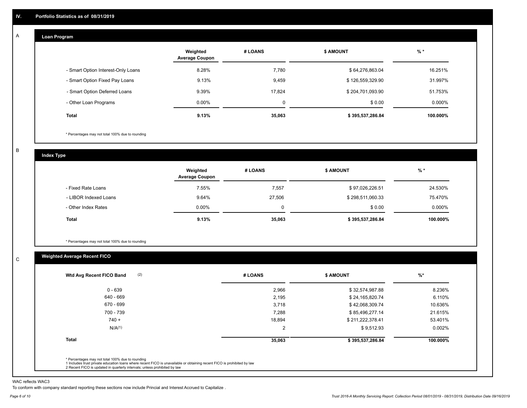#### **Loan Program**  A

|                                    | Weighted<br><b>Average Coupon</b> | # LOANS  | <b>\$ AMOUNT</b> | $%$ *    |
|------------------------------------|-----------------------------------|----------|------------------|----------|
| - Smart Option Interest-Only Loans | 8.28%                             | 7,780    | \$64,276,863.04  | 16.251%  |
| - Smart Option Fixed Pay Loans     | 9.13%                             | 9,459    | \$126,559,329.90 | 31.997%  |
| - Smart Option Deferred Loans      | 9.39%                             | 17.824   | \$204,701,093.90 | 51.753%  |
| - Other Loan Programs              | $0.00\%$                          | $\Omega$ | \$0.00           | 0.000%   |
| <b>Total</b>                       | 9.13%                             | 35,063   | \$395,537,286.84 | 100.000% |

\* Percentages may not total 100% due to rounding

B

C

**Index Type**

|                       | Weighted<br><b>Average Coupon</b> | # LOANS | <b>\$ AMOUNT</b> | %        |
|-----------------------|-----------------------------------|---------|------------------|----------|
| - Fixed Rate Loans    | 7.55%                             | 7,557   | \$97,026,226.51  | 24.530%  |
| - LIBOR Indexed Loans | 9.64%                             | 27,506  | \$298,511,060.33 | 75.470%  |
| - Other Index Rates   | $0.00\%$                          |         | \$0.00           | 0.000%   |
| Total                 | 9.13%                             | 35,063  | \$395,537,286.84 | 100.000% |

\* Percentages may not total 100% due to rounding

## **Weighted Average Recent FICO**

| (2)<br>Wtd Avg Recent FICO Band | # LOANS        | <b>\$ AMOUNT</b> | $%$ *    |
|---------------------------------|----------------|------------------|----------|
| $0 - 639$                       | 2,966          | \$32,574,987.88  | 8.236%   |
| 640 - 669                       | 2,195          | \$24,165,820.74  | 6.110%   |
| 670 - 699                       | 3,718          | \$42,068,309.74  | 10.636%  |
| 700 - 739                       | 7,288          | \$85,496,277.14  | 21.615%  |
| $740 +$                         | 18,894         | \$211,222,378.41 | 53.401%  |
| N/A <sup>(1)</sup>              | $\overline{2}$ | \$9,512.93       | 0.002%   |
| <b>Total</b>                    | 35,063         | \$395,537,286.84 | 100.000% |

WAC reflects WAC3

To conform with company standard reporting these sections now include Princial and Interest Accrued to Capitalize .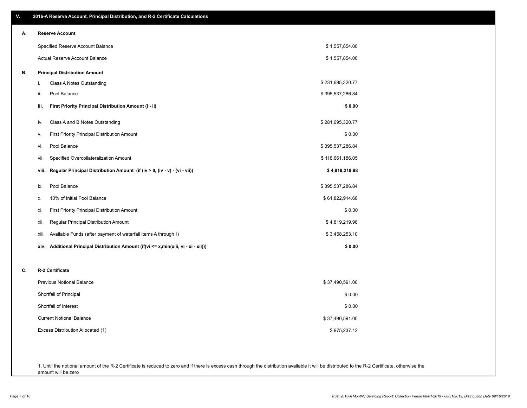| V. | 2016-A Reserve Account, Principal Distribution, and R-2 Certificate Calculations        |                  |
|----|-----------------------------------------------------------------------------------------|------------------|
| А. | <b>Reserve Account</b>                                                                  |                  |
|    | Specified Reserve Account Balance                                                       | \$1,557,854.00   |
|    | Actual Reserve Account Balance                                                          | \$1,557,854.00   |
| В. | <b>Principal Distribution Amount</b>                                                    |                  |
|    | Class A Notes Outstanding<br>i.                                                         | \$231,695,320.77 |
|    | Pool Balance<br>ii.                                                                     | \$395,537,286.84 |
|    | First Priority Principal Distribution Amount (i - ii)<br>iii.                           | \$0.00           |
|    | Class A and B Notes Outstanding<br>iv.                                                  | \$281,695,320.77 |
|    | First Priority Principal Distribution Amount<br>۷.                                      | \$0.00           |
|    | Pool Balance<br>vi.                                                                     | \$395,537,286.84 |
|    | Specified Overcollateralization Amount<br>vii.                                          | \$118,661,186.05 |
|    | Regular Principal Distribution Amount (if (iv > 0, (iv - v) - (vi - vii))<br>viii.      | \$4,819,219.98   |
|    | Pool Balance<br>ix.                                                                     | \$395,537,286.84 |
|    | 10% of Initial Pool Balance<br>х.                                                       | \$61,822,914.68  |
|    | First Priority Principal Distribution Amount<br>xi.                                     | \$0.00           |
|    | Regular Principal Distribution Amount<br>xii.                                           | \$4,819,219.98   |
|    | Available Funds (after payment of waterfall items A through I)<br>xiii.                 | \$3,458,253.10   |
|    | Additional Principal Distribution Amount (if(vi <= x,min(xiii, vi - xi - xii)))<br>xiv. | \$0.00           |
| C. | R-2 Certificate                                                                         |                  |
|    | Previous Notional Balance                                                               | \$37,490,591.00  |
|    | Shortfall of Principal                                                                  | \$0.00           |
|    | Shortfall of Interest                                                                   | \$0.00           |
|    | <b>Current Notional Balance</b>                                                         | \$37,490,591.00  |
|    | Excess Distribution Allocated (1)                                                       | \$975,237.12     |
|    |                                                                                         |                  |
|    |                                                                                         |                  |

1. Until the notional amount of the R-2 Certificate is reduced to zero and if there is excess cash through the distribution available it will be distributed to the R-2 Certificate, otherwise the amount will be zero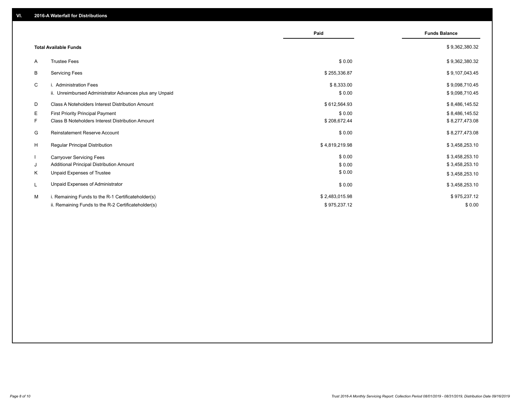|                                                               | Paid           | <b>Funds Balance</b> |
|---------------------------------------------------------------|----------------|----------------------|
| <b>Total Available Funds</b>                                  |                | \$9,362,380.32       |
| <b>Trustee Fees</b><br>A                                      | \$0.00         | \$9,362,380.32       |
| В<br><b>Servicing Fees</b>                                    | \$255,336.87   | \$9,107,043.45       |
| C<br>i. Administration Fees                                   | \$8,333.00     | \$9,098,710.45       |
| ii. Unreimbursed Administrator Advances plus any Unpaid       | \$0.00         | \$9,098,710.45       |
| D<br><b>Class A Noteholders Interest Distribution Amount</b>  | \$612,564.93   | \$8,486,145.52       |
| Е<br>First Priority Principal Payment                         | \$0.00         | \$8,486,145.52       |
| F.<br><b>Class B Noteholders Interest Distribution Amount</b> | \$208,672.44   | \$8,277,473.08       |
| Reinstatement Reserve Account<br>G                            | \$0.00         | \$8,277,473.08       |
| H<br><b>Regular Principal Distribution</b>                    | \$4,819,219.98 | \$3,458,253.10       |
| <b>Carryover Servicing Fees</b>                               | \$0.00         | \$3,458,253.10       |
| Additional Principal Distribution Amount<br>J                 | \$0.00         | \$3,458,253.10       |
| Unpaid Expenses of Trustee<br>Κ                               | \$0.00         | \$3,458,253.10       |
| Unpaid Expenses of Administrator<br>L                         | \$0.00         | \$3,458,253.10       |
| M<br>i. Remaining Funds to the R-1 Certificateholder(s)       | \$2,483,015.98 | \$975,237.12         |
| ii. Remaining Funds to the R-2 Certificateholder(s)           | \$975,237.12   | \$0.00               |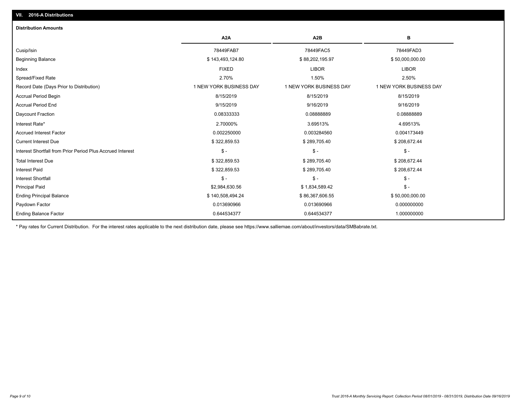## Ending Balance Factor Paydown Factor 0.013690966 0.013690966 0.000000000 Ending Principal Balance \$ 140,508,494.24 \$ 140,508,494.24 \$ \$6,367,606.55 \$50,000,000.000.00 Principal Paid \$2,984,630.56 \$ 1,834,589.42 \$ - Interest Shortfall \$ - \$ - \$ - Interest Paid \$ 322,859.53 \$ 289,705.40 \$ 208,672.44 Total Interest Due \$ 322,859.53 \$ 289,705.40 \$ 208,672.44 Interest Shortfall from Prior Period Plus Accrued Interest \$ - \$ - \$ - Current Interest Due \$ 322,859.53 \$ 289,705.40 \$ 208,672.44 Accrued Interest Factor 0.002250000 0.003284560 0.004173449 Interest Rate\* 2.70000% 3.69513% 4.69513% Daycount Fraction 0.08333333 0.08888889 0.08888889 Accrual Period End 9/15/2019 9/16/2019 9/16/2019 Accrual Period Begin 8/15/2019 8/15/2019 8/15/2019 Record Date (Days Prior to Distribution) 1 1 NEW YORK BUSINESS DAY 1 NEW YORK BUSINESS DAY 1 NEW YORK BUSINESS DAY Spread/Fixed Rate 2.70% 1.50% 2.50% Index FIXED LIBOR LIBOR Beginning Balance \$ 143,493,124.80 \$ 88,202,195.97 \$ 50,000,000.00 Cusip/Isin 78449FAB7 78449FAC5 78449FAD3 **A2A A2B B** 0.644534377 0.644534377 1.000000000 **Distribution Amounts**

\* Pay rates for Current Distribution. For the interest rates applicable to the next distribution date, please see https://www.salliemae.com/about/investors/data/SMBabrate.txt.

**VII. 2016-A Distributions**